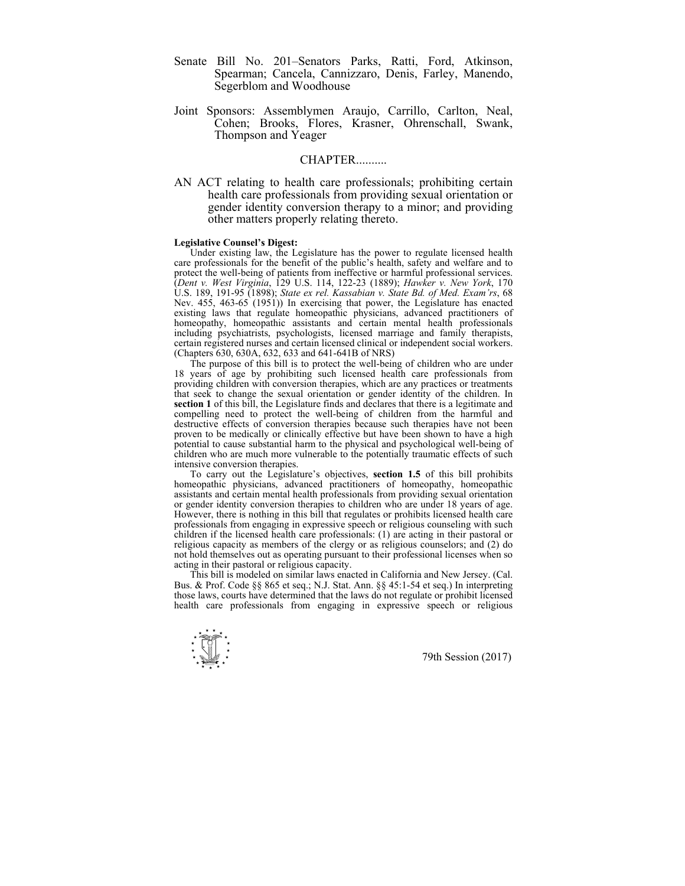- Senate Bill No. 201–Senators Parks, Ratti, Ford, Atkinson, Spearman; Cancela, Cannizzaro, Denis, Farley, Manendo, Segerblom and Woodhouse
- Joint Sponsors: Assemblymen Araujo, Carrillo, Carlton, Neal, Cohen; Brooks, Flores, Krasner, Ohrenschall, Swank, Thompson and Yeager

## **CHAPTER**

AN ACT relating to health care professionals; prohibiting certain health care professionals from providing sexual orientation or gender identity conversion therapy to a minor; and providing other matters properly relating thereto.

## **Legislative Counsel's Digest:**

 Under existing law, the Legislature has the power to regulate licensed health care professionals for the benefit of the public's health, safety and welfare and to protect the well-being of patients from ineffective or harmful professional services. (*Dent v. West Virginia*, 129 U.S. 114, 122-23 (1889); *Hawker v. New York*, 170 U.S. 189, 191-95 (1898); *State ex rel. Kassabian v. State Bd. of Med. Exam'rs*, 68 Nev. 455, 463-65 (1951)) In exercising that power, the Legislature has enacted existing laws that regulate homeopathic physicians, advanced practitioners of homeopathy, homeopathic assistants and certain mental health professionals including psychiatrists, psychologists, licensed marriage and family therapists, certain registered nurses and certain licensed clinical or independent social workers. (Chapters 630, 630A, 632, 633 and 641-641B of NRS)

 The purpose of this bill is to protect the well-being of children who are under 18 years of age by prohibiting such licensed health care professionals from providing children with conversion therapies, which are any practices or treatments that seek to change the sexual orientation or gender identity of the children. In **section 1** of this bill, the Legislature finds and declares that there is a legitimate and compelling need to protect the well-being of children from the harmful and destructive effects of conversion therapies because such therapies have not been proven to be medically or clinically effective but have been shown to have a high potential to cause substantial harm to the physical and psychological well-being of children who are much more vulnerable to the potentially traumatic effects of such intensive conversion therapies.

 To carry out the Legislature's objectives, **section 1.5** of this bill prohibits homeopathic physicians, advanced practitioners of homeopathy, homeopathic assistants and certain mental health professionals from providing sexual orientation or gender identity conversion therapies to children who are under 18 years of age. However, there is nothing in this bill that regulates or prohibits licensed health care professionals from engaging in expressive speech or religious counseling with such children if the licensed health care professionals: (1) are acting in their pastoral or religious capacity as members of the clergy or as religious counselors; and (2) do not hold themselves out as operating pursuant to their professional licenses when so acting in their pastoral or religious capacity.

 This bill is modeled on similar laws enacted in California and New Jersey. (Cal. Bus. & Prof. Code §§ 865 et seq.; N.J. Stat. Ann. §§ 45:1-54 et seq.) In interpreting those laws, courts have determined that the laws do not regulate or prohibit licensed health care professionals from engaging in expressive speech or religious

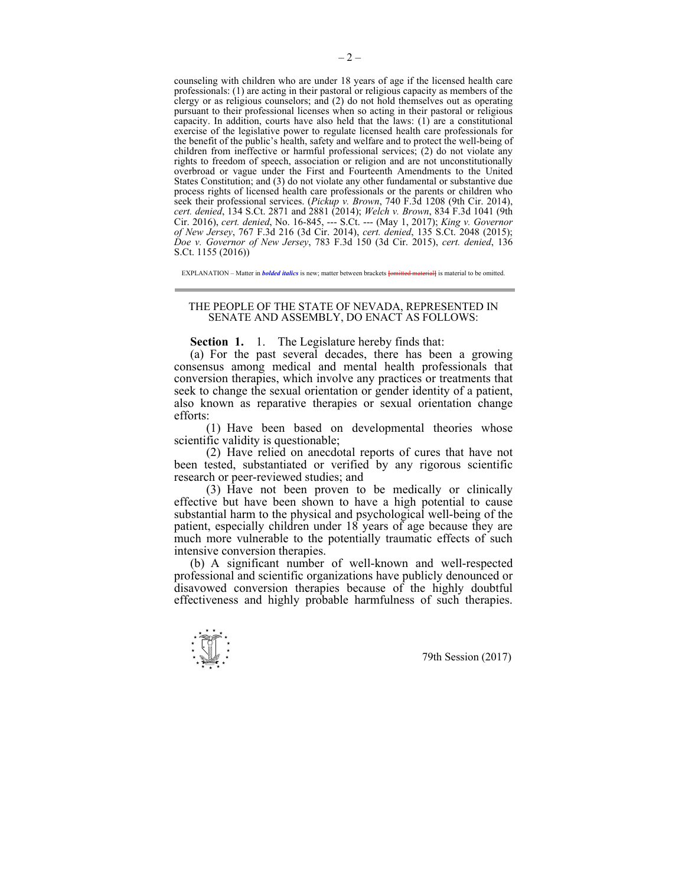counseling with children who are under 18 years of age if the licensed health care professionals: (1) are acting in their pastoral or religious capacity as members of the clergy or as religious counselors; and (2) do not hold themselves out as operating pursuant to their professional licenses when so acting in their pastoral or religious capacity. In addition, courts have also held that the laws:  $(1)$  are a constitutional exercise of the legislative power to regulate licensed health care professionals for the benefit of the public's health, safety and welfare and to protect the well-being of children from ineffective or harmful professional services; (2) do not violate any rights to freedom of speech, association or religion and are not unconstitutionally overbroad or vague under the First and Fourteenth Amendments to the United States Constitution; and (3) do not violate any other fundamental or substantive due process rights of licensed health care professionals or the parents or children who seek their professional services. (*Pickup v. Brown*, 740 F.3d 1208 (9th Cir. 2014), *cert. denied*, 134 S.Ct. 2871 and 2881 (2014); *Welch v. Brown*, 834 F.3d 1041 (9th Cir. 2016), *cert. denied*, No. 16-845, --- S.Ct. --- (May 1, 2017); *King v. Governor of New Jersey*, 767 F.3d 216 (3d Cir. 2014), *cert. denied*, 135 S.Ct. 2048 (2015); *Doe v. Governor of New Jersey*, 783 F.3d 150 (3d Cir. 2015), *cert. denied*, 136 S.Ct. 1155 (2016))

EXPLANATION – Matter in *bolded italics* is new: matter between brackets *lomitted materiall* is material to be omitted.

## THE PEOPLE OF THE STATE OF NEVADA, REPRESENTED IN SENATE AND ASSEMBLY, DO ENACT AS FOLLOWS:

 **Section 1.** 1. The Legislature hereby finds that:

 (a) For the past several decades, there has been a growing consensus among medical and mental health professionals that conversion therapies, which involve any practices or treatments that seek to change the sexual orientation or gender identity of a patient, also known as reparative therapies or sexual orientation change efforts:

 (1) Have been based on developmental theories whose scientific validity is questionable;

 (2) Have relied on anecdotal reports of cures that have not been tested, substantiated or verified by any rigorous scientific research or peer-reviewed studies; and

 (3) Have not been proven to be medically or clinically effective but have been shown to have a high potential to cause substantial harm to the physical and psychological well-being of the patient, especially children under 18 years of age because they are much more vulnerable to the potentially traumatic effects of such intensive conversion therapies.

 (b) A significant number of well-known and well-respected professional and scientific organizations have publicly denounced or disavowed conversion therapies because of the highly doubtful effectiveness and highly probable harmfulness of such therapies.

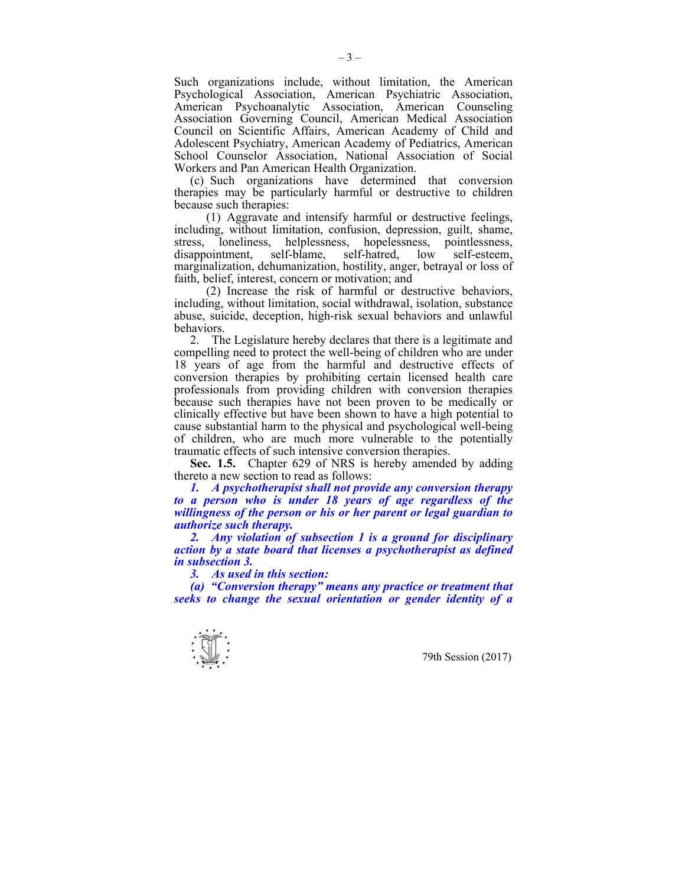Such organizations include, without limitation, the American Psychological Association, American Psychiatric Association, American Psychoanalytic Association, American Counseling Association Governing Council, American Medical Association Council on Scientific Affairs, American Academy of Child and Adolescent Psychiatry, American Academy of Pediatrics, American School Counselor Association, National Association of Social Workers and Pan American Health Organization.

 (c) Such organizations have determined that conversion therapies may be particularly harmful or destructive to children because such therapies:

 (1) Aggravate and intensify harmful or destructive feelings, including, without limitation, confusion, depression, guilt, shame, stress, loneliness, helplessness, hopelessness, pointlessness, disappointment, self-blame, self-hatred, low self-esteem, marginalization, dehumanization, hostility, anger, betrayal or loss of faith, belief, interest, concern or motivation; and

 (2) Increase the risk of harmful or destructive behaviors, including, without limitation, social withdrawal, isolation, substance abuse, suicide, deception, high-risk sexual behaviors and unlawful behaviors.

 2. The Legislature hereby declares that there is a legitimate and compelling need to protect the well-being of children who are under 18 years of age from the harmful and destructive effects of conversion therapies by prohibiting certain licensed health care professionals from providing children with conversion therapies because such therapies have not been proven to be medically or clinically effective but have been shown to have a high potential to cause substantial harm to the physical and psychological well-being of children, who are much more vulnerable to the potentially traumatic effects of such intensive conversion therapies.

 **Sec. 1.5.** Chapter 629 of NRS is hereby amended by adding thereto a new section to read as follows:

*1. A psychotherapist shall not provide any conversion therapy to a person who is under 18 years of age regardless of the willingness of the person or his or her parent or legal guardian to authorize such therapy.* 

 *2. Any violation of subsection 1 is a ground for disciplinary action by a state board that licenses a psychotherapist as defined in subsection 3.* 

 *3. As used in this section:* 

 *(a) "Conversion therapy" means any practice or treatment that seeks to change the sexual orientation or gender identity of a*